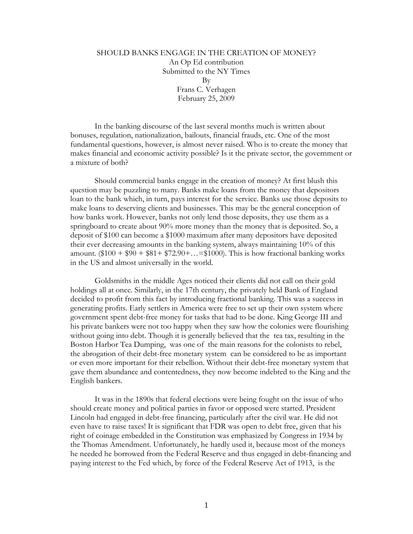## SHOULD BANKS ENGAGE IN THE CREATION OF MONEY? An Op Ed contribution Submitted to the NY Times By Frans C. Verhagen February 25, 2009

In the banking discourse of the last several months much is written about bonuses, regulation, nationalization, bailouts, financial frauds, etc. One of the most fundamental questions, however, is almost never raised. Who is to create the money that makes financial and economic activity possible? Is it the private sector, the government or a mixture of both?

Should commercial banks engage in the creation of money? At first blush this question may be puzzling to many. Banks make loans from the money that depositors loan to the bank which, in turn, pays interest for the service. Banks use those deposits to make loans to deserving clients and businesses. This may be the general conception of how banks work. However, banks not only lend those deposits, they use them as a springboard to create about 90% more money than the money that is deposited. So, a deposit of \$100 can become a \$1000 maximum after many depositors have deposited their ever decreasing amounts in the banking system, always maintaining 10% of this amount.  $$100 + $90 + $81 + $72.90 + ... = $1000$ . This is how fractional banking works in the US and almost universally in the world.

Goldsmiths in the middle Ages noticed their clients did not call on their gold holdings all at once. Similarly, in the 17th century, the privately held Bank of England decided to profit from this fact by introducing fractional banking. This was a success in generating profits. Early settlers in America were free to set up their own system where government spent debt-free money for tasks that had to be done. King George III and his private bankers were not too happy when they saw how the colonies were flourishing without going into debt. Though it is generally believed that the tea tax, resulting in the Boston Harbor Tea Dumping, was one of the main reasons for the colonists to rebel, the abrogation of their debt-free monetary system can be considered to be as important or even more important for their rebellion. Without their debt-free monetary system that gave them abundance and contentedness, they now become indebted to the King and the English bankers.

It was in the 1890s that federal elections were being fought on the issue of who should create money and political parties in favor or opposed were started. President Lincoln had engaged in debt-free financing, particularly after the civil war. He did not even have to raise taxes! It is significant that FDR was open to debt free, given that his right of coinage embedded in the Constitution was emphasized by Congress in 1934 by the Thomas Amendment. Unfortunately, he hardly used it, because most of the moneys he needed he borrowed from the Federal Reserve and thus engaged in debt-financing and paying interest to the Fed which, by force of the Federal Reserve Act of 1913, is the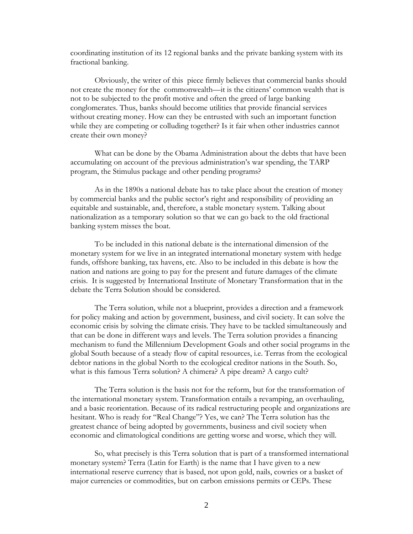coordinating institution of its 12 regional banks and the private banking system with its fractional banking.

Obviously, the writer of this piece firmly believes that commercial banks should not create the money for the commonwealth—it is the citizens' common wealth that is not to be subjected to the profit motive and often the greed of large banking conglomerates. Thus, banks should become utilities that provide financial services without creating money. How can they be entrusted with such an important function while they are competing or colluding together? Is it fair when other industries cannot create their own money?

What can be done by the Obama Administration about the debts that have been accumulating on account of the previous administration's war spending, the TARP program, the Stimulus package and other pending programs?

As in the 1890s a national debate has to take place about the creation of money by commercial banks and the public sector's right and responsibility of providing an equitable and sustainable, and, therefore, a stable monetary system. Talking about nationalization as a temporary solution so that we can go back to the old fractional banking system misses the boat.

To be included in this national debate is the international dimension of the monetary system for we live in an integrated international monetary system with hedge funds, offshore banking, tax havens, etc. Also to be included in this debate is how the nation and nations are going to pay for the present and future damages of the climate crisis. It is suggested by International Institute of Monetary Transformation that in the debate the Terra Solution should be considered.

The Terra solution, while not a blueprint, provides a direction and a framework for policy making and action by government, business, and civil society. It can solve the economic crisis by solving the climate crisis. They have to be tackled simultaneously and that can be done in different ways and levels. The Terra solution provides a financing mechanism to fund the Millennium Development Goals and other social programs in the global South because of a steady flow of capital resources, i.e. Terras from the ecological debtor nations in the global North to the ecological creditor nations in the South. So, what is this famous Terra solution? A chimera? A pipe dream? A cargo cult?

The Terra solution is the basis not for the reform, but for the transformation of the international monetary system. Transformation entails a revamping, an overhauling, and a basic reorientation. Because of its radical restructuring people and organizations are hesitant. Who is ready for "Real Change"? Yes, we can? The Terra solution has the greatest chance of being adopted by governments, business and civil society when economic and climatological conditions are getting worse and worse, which they will.

So, what precisely is this Terra solution that is part of a transformed international monetary system? Terra (Latin for Earth) is the name that I have given to a new international reserve currency that is based, not upon gold, nails, cowries or a basket of major currencies or commodities, but on carbon emissions permits or CEPs. These